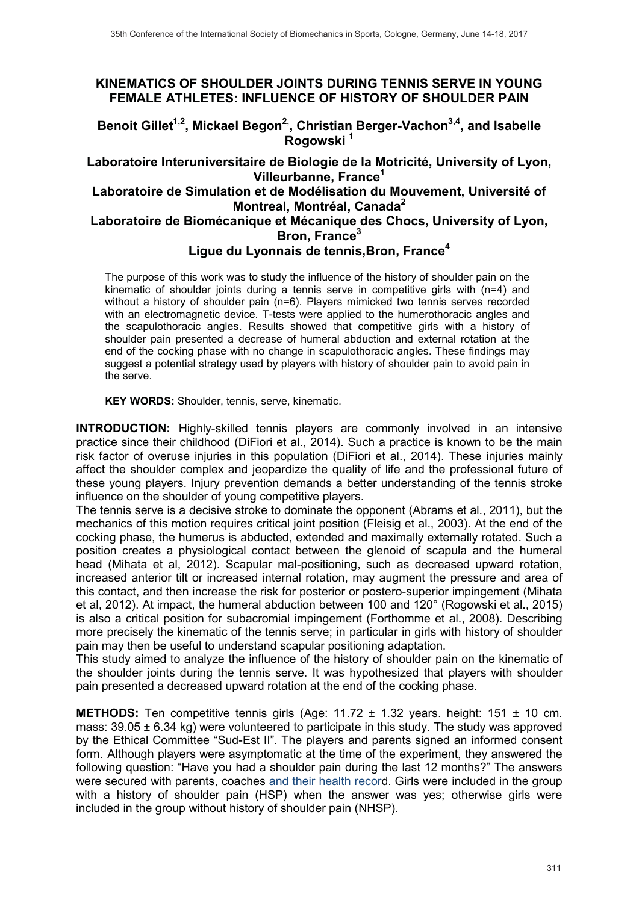## **KINEMATICS OF SHOULDER JOINTS DURING TENNIS SERVE IN YOUNG FEMALE ATHLETES: INFLUENCE OF HISTORY OF SHOULDER PAIN**

Benoit Gillet<sup>1,2</sup>, Mickael Begon<sup>2</sup>, Christian Berger-Vachon<sup>3,4</sup>, and Isabelle **Rogowski 1**

### **Laboratoire Interuniversitaire de Biologie de la Motricité, University of Lyon, Villeurbanne, France1**

#### **Laboratoire de Simulation et de Modélisation du Mouvement, Université of Montreal, Montréal, Canada2**

### **Laboratoire de Biomécanique et Mécanique des Chocs, University of Lyon, Bron, France3**

# **Ligue du Lyonnais de tennis,Bron, France4**

The purpose of this work was to study the influence of the history of shoulder pain on the kinematic of shoulder joints during a tennis serve in competitive girls with (n=4) and without a history of shoulder pain (n=6). Players mimicked two tennis serves recorded with an electromagnetic device. T-tests were applied to the humerothoracic angles and the scapulothoracic angles. Results showed that competitive girls with a history of shoulder pain presented a decrease of humeral abduction and external rotation at the end of the cocking phase with no change in scapulothoracic angles. These findings may suggest a potential strategy used by players with history of shoulder pain to avoid pain in the serve.

**KEY WORDS:** Shoulder, tennis, serve, kinematic.

**INTRODUCTION:** Highly-skilled tennis players are commonly involved in an intensive practice since their childhood (DiFiori et al., 2014). Such a practice is known to be the main risk factor of overuse injuries in this population (DiFiori et al., 2014). These injuries mainly affect the shoulder complex and jeopardize the quality of life and the professional future of these young players. Injury prevention demands a better understanding of the tennis stroke influence on the shoulder of young competitive players.

The tennis serve is a decisive stroke to dominate the opponent (Abrams et al., 2011), but the mechanics of this motion requires critical joint position (Fleisig et al., 2003). At the end of the cocking phase, the humerus is abducted, extended and maximally externally rotated. Such a position creates a physiological contact between the glenoid of scapula and the humeral head (Mihata et al, 2012). Scapular mal-positioning, such as decreased upward rotation, increased anterior tilt or increased internal rotation, may augment the pressure and area of this contact, and then increase the risk for posterior or postero-superior impingement (Mihata et al, 2012). At impact, the humeral abduction between 100 and 120° (Rogowski et al., 2015) is also a critical position for subacromial impingement (Forthomme et al., 2008). Describing more precisely the kinematic of the tennis serve; in particular in girls with history of shoulder pain may then be useful to understand scapular positioning adaptation.

This study aimed to analyze the influence of the history of shoulder pain on the kinematic of the shoulder joints during the tennis serve. It was hypothesized that players with shoulder pain presented a decreased upward rotation at the end of the cocking phase.

**METHODS:** Ten competitive tennis girls (Age: 11.72 ± 1.32 years. height: 151 ± 10 cm. mass:  $39.05 \pm 6.34$  kg) were volunteered to participate in this study. The study was approved by the Ethical Committee "Sud-Est II". The players and parents signed an informed consent form. Although players were asymptomatic at the time of the experiment, they answered the following question: "Have you had a shoulder pain during the last 12 months?" The answers were secured with parents, coaches and their health record. Girls were included in the group with a history of shoulder pain (HSP) when the answer was yes; otherwise girls were included in the group without history of shoulder pain (NHSP).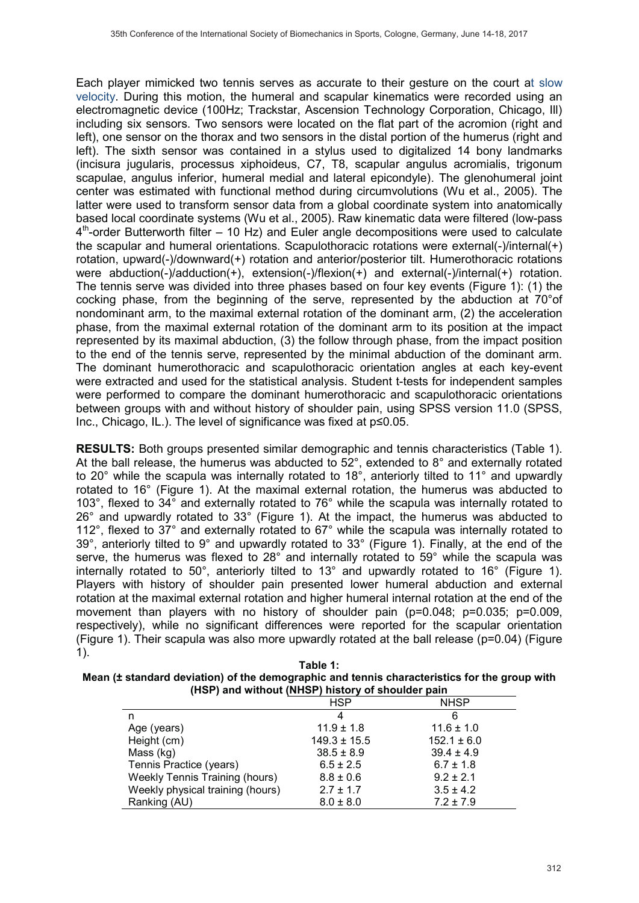Each player mimicked two tennis serves as accurate to their gesture on the court at slow velocity. During this motion, the humeral and scapular kinematics were recorded using an electromagnetic device (100Hz; Trackstar, Ascension Technology Corporation, Chicago, Ill) including six sensors. Two sensors were located on the flat part of the acromion (right and left), one sensor on the thorax and two sensors in the distal portion of the humerus (right and left). The sixth sensor was contained in a stylus used to digitalized 14 bony landmarks (incisura jugularis, processus xiphoideus, C7, T8, scapular angulus acromialis, trigonum scapulae, angulus inferior, humeral medial and lateral epicondyle). The glenohumeral joint center was estimated with functional method during circumvolutions (Wu et al., 2005). The latter were used to transform sensor data from a global coordinate system into anatomically based local coordinate systems (Wu et al., 2005). Raw kinematic data were filtered (low-pass  $4<sup>th</sup>$ -order Butterworth filter – 10 Hz) and Euler angle decompositions were used to calculate the scapular and humeral orientations. Scapulothoracic rotations were external(-)/internal(+) rotation, upward(-)/downward(+) rotation and anterior/posterior tilt. Humerothoracic rotations were abduction(-)/adduction(+), extension(-)/flexion(+) and external(-)/internal(+) rotation. The tennis serve was divided into three phases based on four key events (Figure 1): (1) the cocking phase, from the beginning of the serve, represented by the abduction at 70°of nondominant arm, to the maximal external rotation of the dominant arm, (2) the acceleration phase, from the maximal external rotation of the dominant arm to its position at the impact represented by its maximal abduction, (3) the follow through phase, from the impact position to the end of the tennis serve, represented by the minimal abduction of the dominant arm. The dominant humerothoracic and scapulothoracic orientation angles at each key-event were extracted and used for the statistical analysis. Student t-tests for independent samples were performed to compare the dominant humerothoracic and scapulothoracic orientations between groups with and without history of shoulder pain, using SPSS version 11.0 (SPSS, Inc., Chicago, IL.). The level of significance was fixed at  $p\leq 0.05$ .

**RESULTS:** Both groups presented similar demographic and tennis characteristics (Table 1). At the ball release, the humerus was abducted to 52°, extended to 8° and externally rotated to 20° while the scapula was internally rotated to 18°, anteriorly tilted to 11° and upwardly rotated to 16° (Figure 1). At the maximal external rotation, the humerus was abducted to 103°, flexed to 34° and externally rotated to 76° while the scapula was internally rotated to 26° and upwardly rotated to 33° (Figure 1). At the impact, the humerus was abducted to 112°, flexed to 37° and externally rotated to 67° while the scapula was internally rotated to 39°, anteriorly tilted to 9° and upwardly rotated to 33° (Figure 1). Finally, at the end of the serve, the humerus was flexed to 28° and internally rotated to 59° while the scapula was internally rotated to 50°, anteriorly tilted to 13° and upwardly rotated to 16° (Figure 1). Players with history of shoulder pain presented lower humeral abduction and external rotation at the maximal external rotation and higher humeral internal rotation at the end of the movement than players with no history of shoulder pain (p=0.048; p=0.035; p=0.009, respectively), while no significant differences were reported for the scapular orientation (Figure 1). Their scapula was also more upwardly rotated at the ball release (p=0.04) (Figure 1).

| Table 1:                                                                                     |
|----------------------------------------------------------------------------------------------|
| Mean (± standard deviation) of the demographic and tennis characteristics for the group with |
| (HSP) and without (NHSP) history of shoulder pain                                            |

|                                       | <b>HSP</b>       | <b>NHSP</b>     |
|---------------------------------------|------------------|-----------------|
| n                                     | 4                | 6               |
| Age (years)                           | $11.9 \pm 1.8$   | $11.6 \pm 1.0$  |
| Height (cm)                           | $149.3 \pm 15.5$ | $152.1 \pm 6.0$ |
| Mass (kg)                             | $38.5 \pm 8.9$   | $39.4 \pm 4.9$  |
| Tennis Practice (years)               | $6.5 \pm 2.5$    | $6.7 \pm 1.8$   |
| <b>Weekly Tennis Training (hours)</b> | $8.8 \pm 0.6$    | $9.2 \pm 2.1$   |
| Weekly physical training (hours)      | $2.7 \pm 1.7$    | $3.5 \pm 4.2$   |
| Ranking (AU)                          | $8.0 \pm 8.0$    | $7.2 \pm 7.9$   |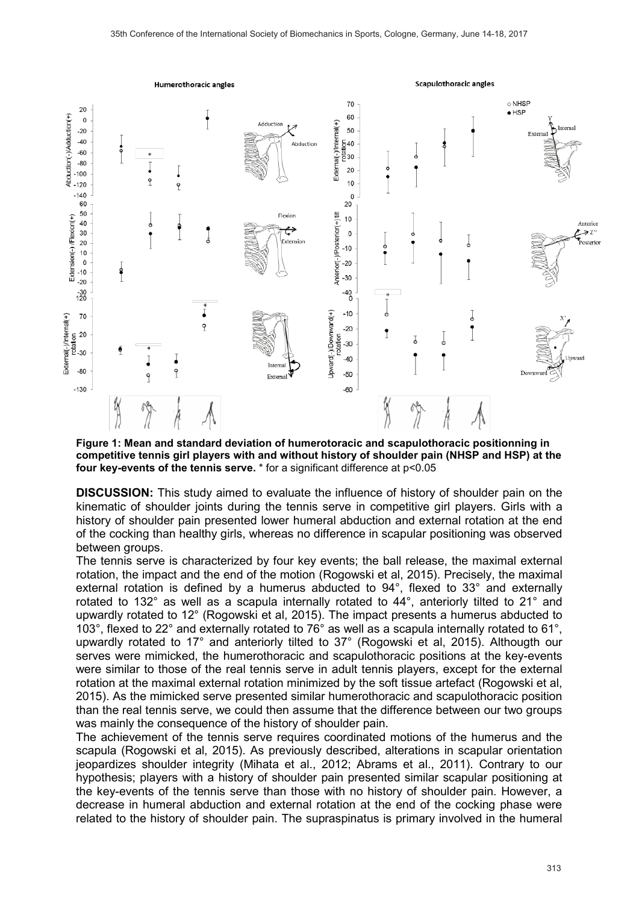

**Figure 1: Mean and standard deviation of humerotoracic and scapulothoracic positionning in competitive tennis girl players with and without history of shoulder pain (NHSP and HSP) at the four key-events of the tennis serve.** \* for a significant difference at p<0.05

**DISCUSSION:** This study aimed to evaluate the influence of history of shoulder pain on the kinematic of shoulder joints during the tennis serve in competitive girl players. Girls with a history of shoulder pain presented lower humeral abduction and external rotation at the end of the cocking than healthy girls, whereas no difference in scapular positioning was observed between groups.

The tennis serve is characterized by four key events; the ball release, the maximal external rotation, the impact and the end of the motion (Rogowski et al, 2015). Precisely, the maximal external rotation is defined by a humerus abducted to 94°, flexed to 33° and externally rotated to 132° as well as a scapula internally rotated to 44°, anteriorly tilted to 21° and upwardly rotated to 12° (Rogowski et al, 2015). The impact presents a humerus abducted to 103°, flexed to 22° and externally rotated to 76° as well as a scapula internally rotated to 61°, upwardly rotated to 17° and anteriorly tilted to 37° (Rogowski et al, 2015). Althougth our serves were mimicked, the humerothoracic and scapulothoracic positions at the key-events were similar to those of the real tennis serve in adult tennis players, except for the external rotation at the maximal external rotation minimized by the soft tissue artefact (Rogowski et al, 2015). As the mimicked serve presented similar humerothoracic and scapulothoracic position than the real tennis serve, we could then assume that the difference between our two groups was mainly the consequence of the history of shoulder pain.

The achievement of the tennis serve requires coordinated motions of the humerus and the scapula (Rogowski et al, 2015). As previously described, alterations in scapular orientation jeopardizes shoulder integrity (Mihata et al., 2012; Abrams et al., 2011). Contrary to our hypothesis; players with a history of shoulder pain presented similar scapular positioning at the key-events of the tennis serve than those with no history of shoulder pain. However, a decrease in humeral abduction and external rotation at the end of the cocking phase were related to the history of shoulder pain. The supraspinatus is primary involved in the humeral